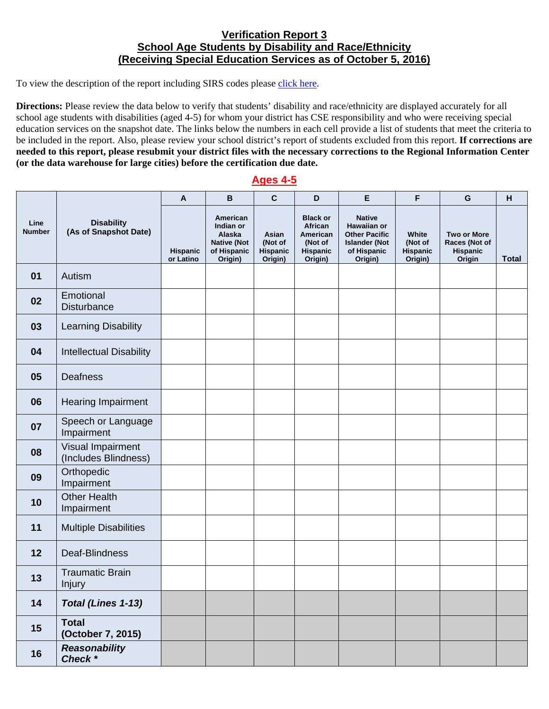## **Verification Report 3 School Age Students by Disability and Race/Ethnicity (Receiving Special Education Services as of October 5, 2016)**

To view the description of the report including SIRS codes please click here.

 **(or the data warehouse for large cities) before the certification due date. Directions:** Please review the data below to verify that students' disability and race/ethnicity are displayed accurately for all school age students with disabilities (aged 4-5) for whom your district has CSE responsibility and who were receiving special education services on the snapshot date. The links below the numbers in each cell provide a list of students that meet the criteria to be included in the report. Also, please review your school district's report of students excluded from this report. **If corrections are needed to this report, please resubmit your district files with the necessary corrections to the Regional Information Center** 

## **Ages 4-5**

| Line<br><b>Number</b> | <b>Disability</b><br>(As of Snapshot Date) | A                     | $\, {\bf B}$                                                                    | $\mathbf{C}$                            | D                                                                        | E                                                                                                      | F                                              | G                                                                | H            |
|-----------------------|--------------------------------------------|-----------------------|---------------------------------------------------------------------------------|-----------------------------------------|--------------------------------------------------------------------------|--------------------------------------------------------------------------------------------------------|------------------------------------------------|------------------------------------------------------------------|--------------|
|                       |                                            | Hispanic<br>or Latino | American<br>Indian or<br>Alaska<br><b>Native (Not</b><br>of Hispanic<br>Origin) | Asian<br>(Not of<br>Hispanic<br>Origin) | <b>Black or</b><br>African<br>American<br>(Not of<br>Hispanic<br>Origin) | <b>Native</b><br>Hawaiian or<br><b>Other Pacific</b><br><b>Islander (Not</b><br>of Hispanic<br>Origin) | White<br>(Not of<br><b>Hispanic</b><br>Origin) | <b>Two or More</b><br>Races (Not of<br><b>Hispanic</b><br>Origin | <b>Total</b> |
| 01                    | Autism                                     |                       |                                                                                 |                                         |                                                                          |                                                                                                        |                                                |                                                                  |              |
| 02                    | Emotional<br><b>Disturbance</b>            |                       |                                                                                 |                                         |                                                                          |                                                                                                        |                                                |                                                                  |              |
| 03                    | <b>Learning Disability</b>                 |                       |                                                                                 |                                         |                                                                          |                                                                                                        |                                                |                                                                  |              |
| 04                    | <b>Intellectual Disability</b>             |                       |                                                                                 |                                         |                                                                          |                                                                                                        |                                                |                                                                  |              |
| 05                    | <b>Deafness</b>                            |                       |                                                                                 |                                         |                                                                          |                                                                                                        |                                                |                                                                  |              |
| 06                    | <b>Hearing Impairment</b>                  |                       |                                                                                 |                                         |                                                                          |                                                                                                        |                                                |                                                                  |              |
| 07                    | Speech or Language<br>Impairment           |                       |                                                                                 |                                         |                                                                          |                                                                                                        |                                                |                                                                  |              |
| 08                    | Visual Impairment<br>(Includes Blindness)  |                       |                                                                                 |                                         |                                                                          |                                                                                                        |                                                |                                                                  |              |
| 09                    | Orthopedic<br>Impairment                   |                       |                                                                                 |                                         |                                                                          |                                                                                                        |                                                |                                                                  |              |
| 10                    | <b>Other Health</b><br>Impairment          |                       |                                                                                 |                                         |                                                                          |                                                                                                        |                                                |                                                                  |              |
| 11                    | <b>Multiple Disabilities</b>               |                       |                                                                                 |                                         |                                                                          |                                                                                                        |                                                |                                                                  |              |
| 12                    | Deaf-Blindness                             |                       |                                                                                 |                                         |                                                                          |                                                                                                        |                                                |                                                                  |              |
| 13                    | <b>Traumatic Brain</b><br><b>Injury</b>    |                       |                                                                                 |                                         |                                                                          |                                                                                                        |                                                |                                                                  |              |
| 14                    | Total (Lines 1-13)                         |                       |                                                                                 |                                         |                                                                          |                                                                                                        |                                                |                                                                  |              |
| 15                    | <b>Total</b><br>(October 7, 2015)          |                       |                                                                                 |                                         |                                                                          |                                                                                                        |                                                |                                                                  |              |
| 16                    | <b>Reasonability</b><br>Check *            |                       |                                                                                 |                                         |                                                                          |                                                                                                        |                                                |                                                                  |              |